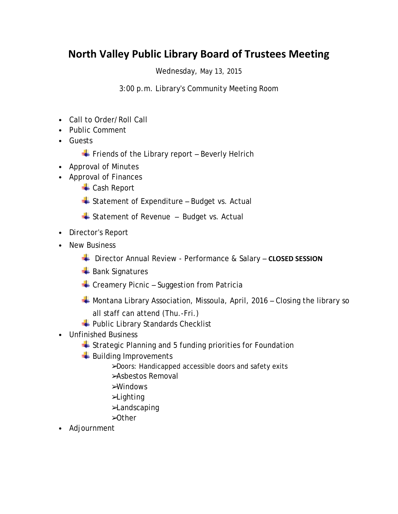## **North Valley Public Library Board of Trustees Meeting**

Wednesday, May 13, 2015

3:00 p.m. Library's Community Meeting Room

- Call to Order/Roll Call
- Public Comment
- Guests

 $\overline{\phantom{a}}$  Friends of the Library report – Beverly Helrich

- Approval of Minutes
- Approval of Finances
	- **← Cash Report**
	- $\triangleq$  Statement of Expenditure Budget vs. Actual
	- $\triangleq$  Statement of Revenue Budget vs. Actual
- Director's Report
- New Business
	- Director Annual Review Performance & Salary **CLOSED SESSION**
	- **Bank Signatures**
	- $\triangleq$  Creamery Picnic Suggestion from Patricia
	- $\overline{\phantom{a}}$  Montana Library Association, Missoula, April, 2016 Closing the library so all staff can attend (Thu.-Fri.)
	- $\leftarrow$  Public Library Standards Checklist
- Unfinished Business
	- $\div$  Strategic Planning and 5 funding priorities for Foundation
	- Building Improvements
		- ➢Doors: Handicapped accessible doors and safety exits
		- ➢Asbestos Removal
		- ➢Windows
		- ➢Lighting
		- ➢Landscaping
		- ➢Other
- Adjournment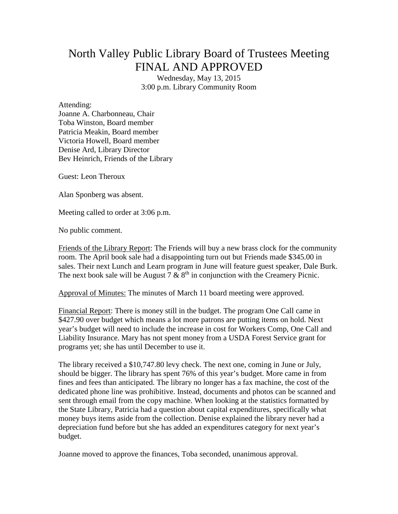## North Valley Public Library Board of Trustees Meeting FINAL AND APPROVED

Wednesday, May 13, 2015 3:00 p.m. Library Community Room

Attending: Joanne A. Charbonneau, Chair Toba Winston, Board member Patricia Meakin, Board member Victoria Howell, Board member Denise Ard, Library Director Bev Heinrich, Friends of the Library

Guest: Leon Theroux

Alan Sponberg was absent.

Meeting called to order at 3:06 p.m.

No public comment.

Friends of the Library Report: The Friends will buy a new brass clock for the community room. The April book sale had a disappointing turn out but Friends made \$345.00 in sales. Their next Lunch and Learn program in June will feature guest speaker, Dale Burk. The next book sale will be August 7  $\&$  8<sup>th</sup> in conjunction with the Creamery Picnic.

Approval of Minutes: The minutes of March 11 board meeting were approved.

Financial Report: There is money still in the budget. The program One Call came in \$427.90 over budget which means a lot more patrons are putting items on hold. Next year's budget will need to include the increase in cost for Workers Comp, One Call and Liability Insurance. Mary has not spent money from a USDA Forest Service grant for programs yet; she has until December to use it.

The library received a \$10,747.80 levy check. The next one, coming in June or July, should be bigger. The library has spent 76% of this year's budget. More came in from fines and fees than anticipated. The library no longer has a fax machine, the cost of the dedicated phone line was prohibitive. Instead, documents and photos can be scanned and sent through email from the copy machine. When looking at the statistics formatted by the State Library, Patricia had a question about capital expenditures, specifically what money buys items aside from the collection. Denise explained the library never had a depreciation fund before but she has added an expenditures category for next year's budget.

Joanne moved to approve the finances, Toba seconded, unanimous approval.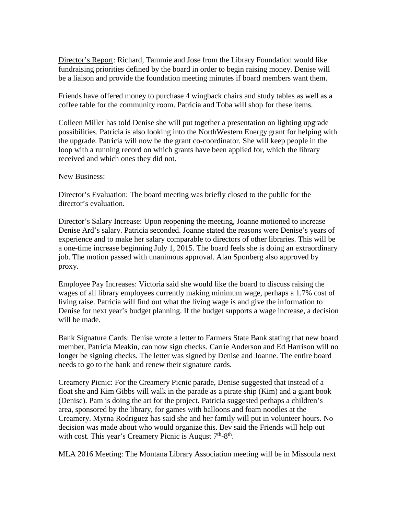Director's Report: Richard, Tammie and Jose from the Library Foundation would like fundraising priorities defined by the board in order to begin raising money. Denise will be a liaison and provide the foundation meeting minutes if board members want them.

Friends have offered money to purchase 4 wingback chairs and study tables as well as a coffee table for the community room. Patricia and Toba will shop for these items.

Colleen Miller has told Denise she will put together a presentation on lighting upgrade possibilities. Patricia is also looking into the NorthWestern Energy grant for helping with the upgrade. Patricia will now be the grant co-coordinator. She will keep people in the loop with a running record on which grants have been applied for, which the library received and which ones they did not.

## New Business:

Director's Evaluation: The board meeting was briefly closed to the public for the director's evaluation.

Director's Salary Increase: Upon reopening the meeting, Joanne motioned to increase Denise Ard's salary. Patricia seconded. Joanne stated the reasons were Denise's years of experience and to make her salary comparable to directors of other libraries. This will be a one-time increase beginning July 1, 2015. The board feels she is doing an extraordinary job. The motion passed with unanimous approval. Alan Sponberg also approved by proxy.

Employee Pay Increases: Victoria said she would like the board to discuss raising the wages of all library employees currently making minimum wage, perhaps a 1.7% cost of living raise. Patricia will find out what the living wage is and give the information to Denise for next year's budget planning. If the budget supports a wage increase, a decision will be made.

Bank Signature Cards: Denise wrote a letter to Farmers State Bank stating that new board member, Patricia Meakin, can now sign checks. Carrie Anderson and Ed Harrison will no longer be signing checks. The letter was signed by Denise and Joanne. The entire board needs to go to the bank and renew their signature cards.

Creamery Picnic: For the Creamery Picnic parade, Denise suggested that instead of a float she and Kim Gibbs will walk in the parade as a pirate ship (Kim) and a giant book (Denise). Pam is doing the art for the project. Patricia suggested perhaps a children's area, sponsored by the library, for games with balloons and foam noodles at the Creamery. Myrna Rodriguez has said she and her family will put in volunteer hours. No decision was made about who would organize this. Bev said the Friends will help out with cost. This year's Creamery Picnic is August  $7<sup>th</sup>-8<sup>th</sup>$ .

MLA 2016 Meeting: The Montana Library Association meeting will be in Missoula next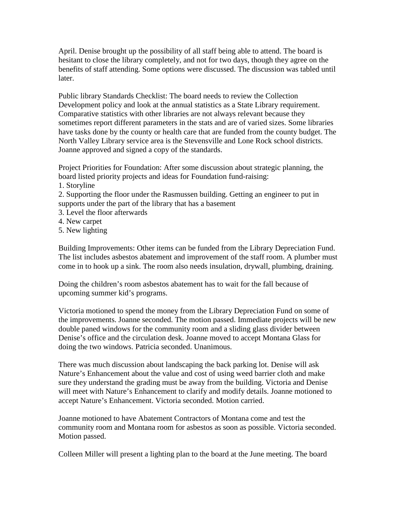April. Denise brought up the possibility of all staff being able to attend. The board is hesitant to close the library completely, and not for two days, though they agree on the benefits of staff attending. Some options were discussed. The discussion was tabled until later.

Public library Standards Checklist: The board needs to review the Collection Development policy and look at the annual statistics as a State Library requirement. Comparative statistics with other libraries are not always relevant because they sometimes report different parameters in the stats and are of varied sizes. Some libraries have tasks done by the county or health care that are funded from the county budget. The North Valley Library service area is the Stevensville and Lone Rock school districts. Joanne approved and signed a copy of the standards.

Project Priorities for Foundation: After some discussion about strategic planning, the board listed priority projects and ideas for Foundation fund-raising:

1. Storyline

2. Supporting the floor under the Rasmussen building. Getting an engineer to put in supports under the part of the library that has a basement

- 3. Level the floor afterwards
- 4. New carpet
- 5. New lighting

Building Improvements: Other items can be funded from the Library Depreciation Fund. The list includes asbestos abatement and improvement of the staff room. A plumber must come in to hook up a sink. The room also needs insulation, drywall, plumbing, draining.

Doing the children's room asbestos abatement has to wait for the fall because of upcoming summer kid's programs.

Victoria motioned to spend the money from the Library Depreciation Fund on some of the improvements. Joanne seconded. The motion passed. Immediate projects will be new double paned windows for the community room and a sliding glass divider between Denise's office and the circulation desk. Joanne moved to accept Montana Glass for doing the two windows. Patricia seconded. Unanimous.

There was much discussion about landscaping the back parking lot. Denise will ask Nature's Enhancement about the value and cost of using weed barrier cloth and make sure they understand the grading must be away from the building. Victoria and Denise will meet with Nature's Enhancement to clarify and modify details. Joanne motioned to accept Nature's Enhancement. Victoria seconded. Motion carried.

Joanne motioned to have Abatement Contractors of Montana come and test the community room and Montana room for asbestos as soon as possible. Victoria seconded. Motion passed.

Colleen Miller will present a lighting plan to the board at the June meeting. The board